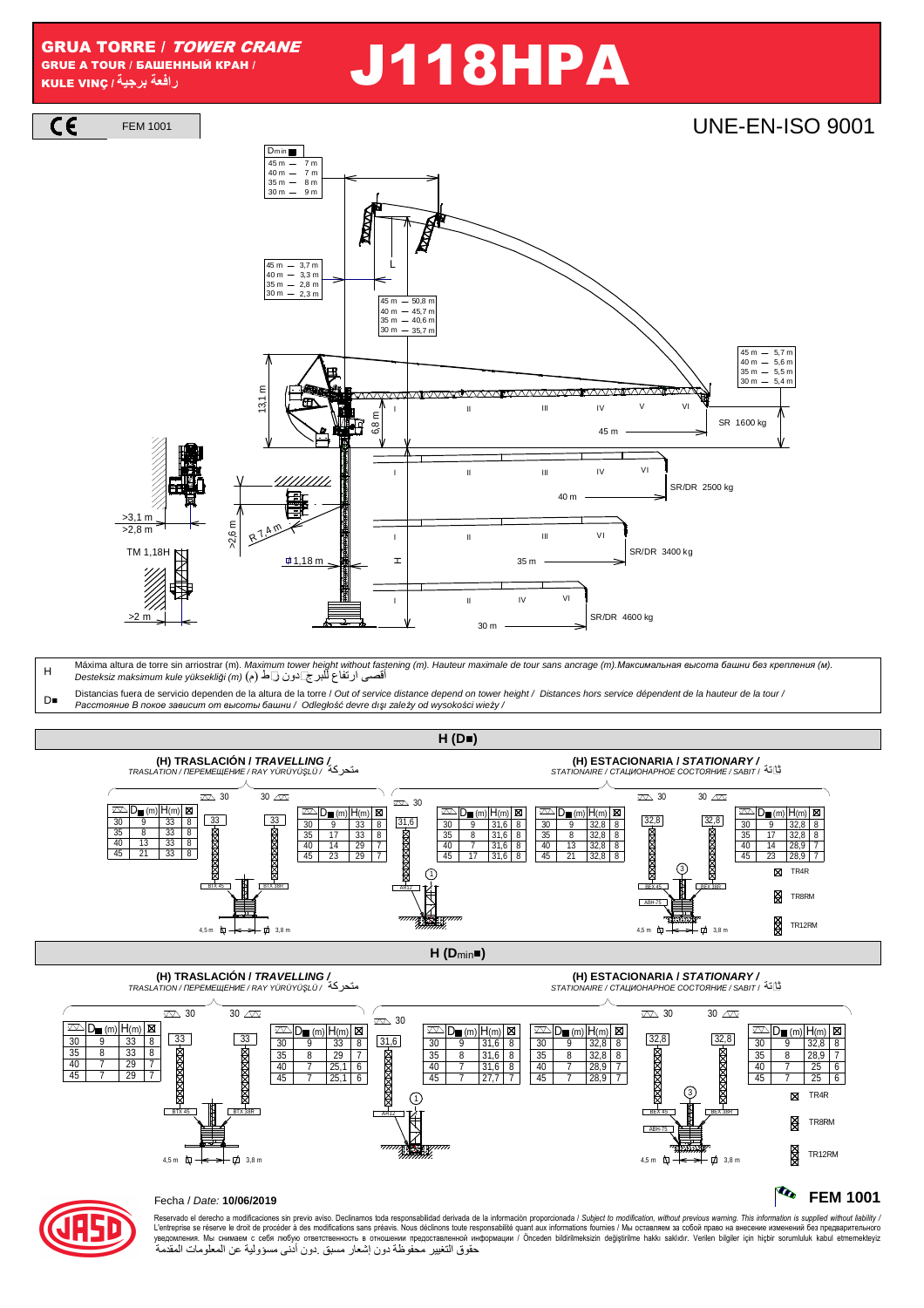### GRUA TORRE / TOWER CRANE GRUE A TOUR / БАШЕННЫЙ КРАН /

 $C \in$ 

# GRUA TORRE / *TOWER CRANE*<br>GRUE A TOUR / BAWEHHHH MA KPAH /<br>رافعة برجية (جبة)

FEM 1001 | **UNE-EN-ISO 9001** 40 m — 7 m<br>35 m — 8 m  $\overline{7n}$  $45 r$  $30 m - 9 m$  6,8 m 40 m - 45,7 m<br>35 m - 40,6 m  $-50,8$ 45 m  $30 m - 35.7 m$ 3,7 m<br>3,3 m<br>2,8 m 45 m<br>40 m<br>35 m  $30 m - 2.3 n$ II III IV V VI 45 m SR 1600 kg II III IV VI L 40 m SR/DR 2500 kg 35 m SR/DR 3400 kg 30 m SR/DR 4600 kg HII VI III VI II IV VI <sup>I</sup> 13,1 m 5,5 m 5,6 m  $5,7 r$ 35 m 40 m 45 m  $\frac{3}{5}$   $\frac{1}{4}$  $\#$ 1,18 m >2,6 m R 7,4 m  $>3,1 \, m$  $>2.8 m$ >2 m TM 1,18H  $D_{min}$ 

H Máxima altura de torre sin arriostrar (m). Maximum tower height without fastening (m). Hauteur maximale de tour sans ancrage (m).Максимальная высота башни без крепления (м).<br>أقصـي ارتفاع للبرج]ادون ل

 $D_{\blacksquare}$ Distancias fuera de servicio dependen de la altura de la torre / Out of service distance depend on tower height / Distances hors service dépendent de la hauteur de la tour / P*асстояние В покое зависит от высоты башни* / Odległo*ść* devre dı*ş*ı zale*ż*y od wysoko*ś*ci wie*ż*y /





Reservado el derecho a modificaciones sin previo aviso. Declinamos toda responsabilidad derivada de la información proporcionada / Subjec*t to modification, without previous warning. This information is supplied without l* حقوق التغيير محفوظة دون إشعار مسبق .دون أدنى مسؤولية عن المعلومات المقدمة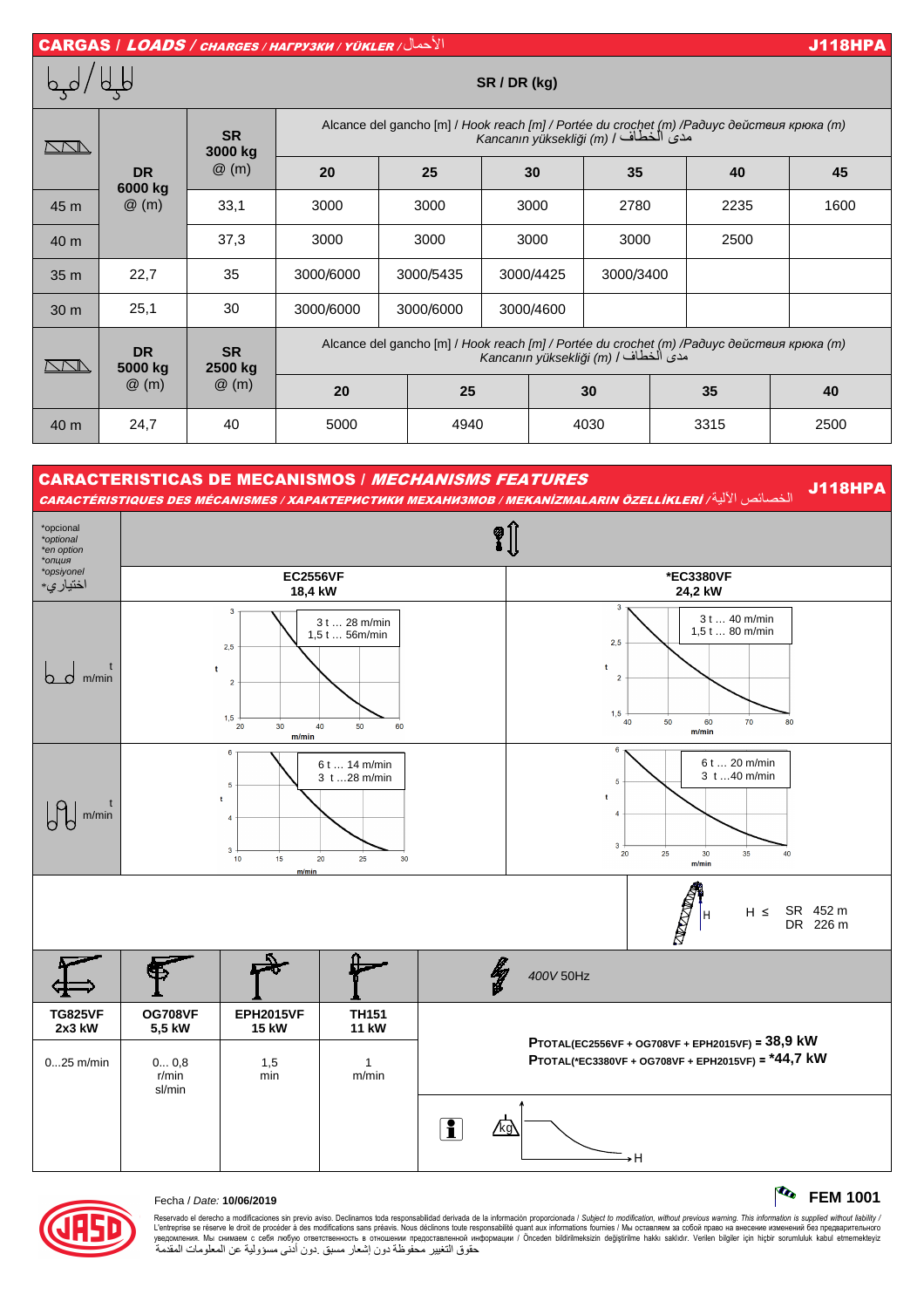



Reservado el derecho a modificaciones sin previo aviso. Declinamos toda responsabilidad derivada de la información proporcionada / Subjec*t to modification, without previous warning. This information is supplied without l* حقوق التغيير محفوظة دون إشعار مسبق .دون أدنى مسؤولية عن المعلومات المقدمة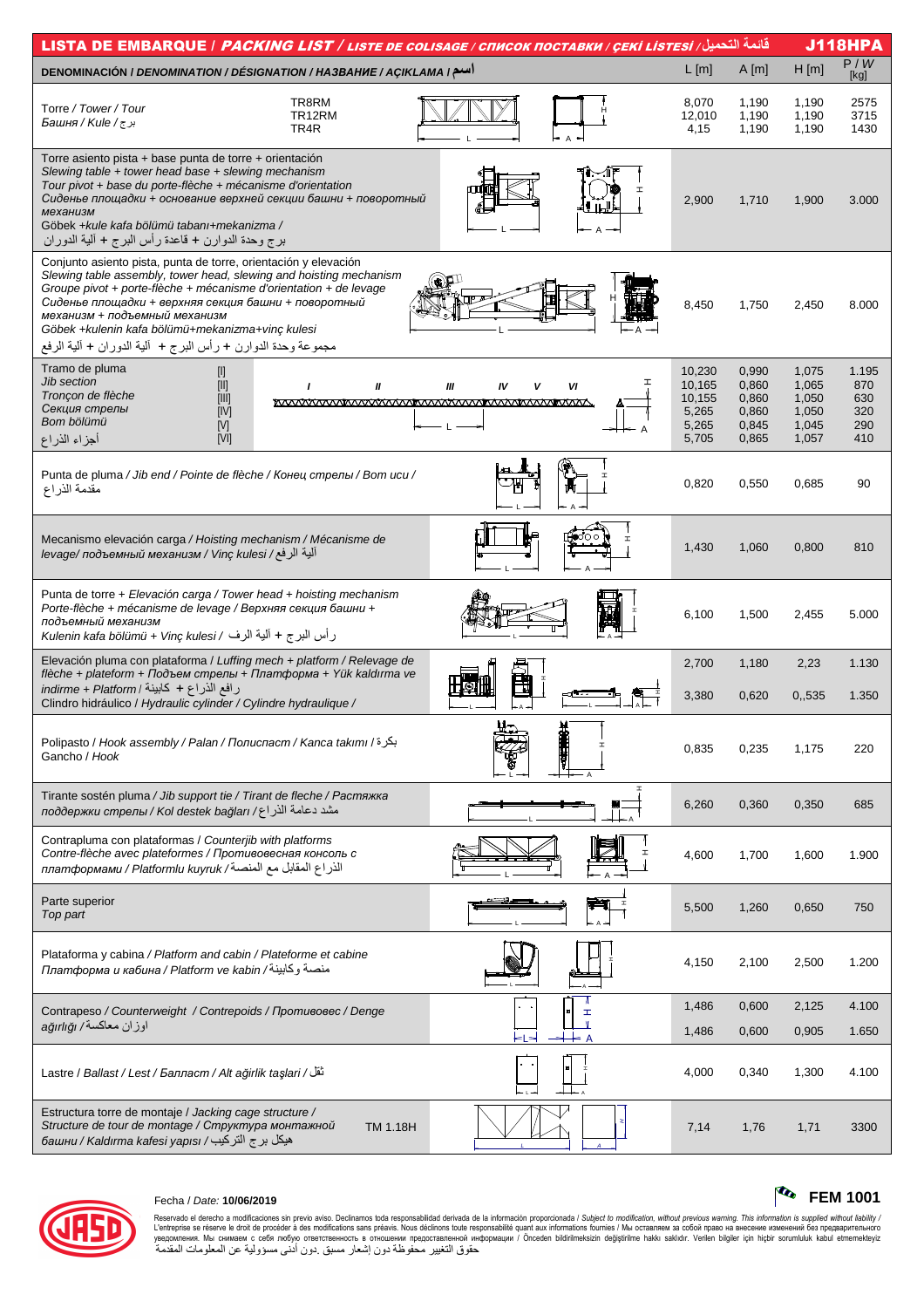| <u>قائمة التحميل/ LISTA DE EMBARQUE / <i>PACKING LIST / LISTE DE COLISAGE / CПИСОК ПОСТАВКИ / ÇEKİ LISTESI / المكافحات ا</i></u>                                                                                                                                                                                                                                                                                                                                           |                                                       |                                                    |                                                    | <b>J118HPA</b>                           |
|----------------------------------------------------------------------------------------------------------------------------------------------------------------------------------------------------------------------------------------------------------------------------------------------------------------------------------------------------------------------------------------------------------------------------------------------------------------------------|-------------------------------------------------------|----------------------------------------------------|----------------------------------------------------|------------------------------------------|
| DENOMINACIÓN / DENOMINATION / DÉSIGNATION / HA3BAHUE / AÇIKLAMA   سم                                                                                                                                                                                                                                                                                                                                                                                                       | $L$ [m]                                               | A[m]                                               | H[m]                                               | P/W<br>[kg]                              |
| TR8RM<br>Torre / Tower / Tour<br>TR12RM<br>برج/ Башня / Kule /<br>TR4R                                                                                                                                                                                                                                                                                                                                                                                                     | 8,070<br>12,010<br>4,15                               | 1,190<br>1,190<br>1,190                            | 1,190<br>1,190<br>1,190                            | 2575<br>3715<br>1430                     |
| Torre asiento pista + base punta de torre + orientación<br>Slewing table + tower head base + slewing mechanism<br>Tour pivot + base du porte-flèche + mécanisme d'orientation<br>Сиденье площадки + основание верхней секции башни + поворотный<br>механизм<br>Göbek + kule kafa bölümü tabanı + mekanizma /<br>برج وحدة الدوارن + قاعدة رأس البرج + ألية الدوران                                                                                                          | 2,900                                                 | 1,710                                              | 1,900                                              | 3.000                                    |
| Conjunto asiento pista, punta de torre, orientación y elevación<br>Slewing table assembly, tower head, slewing and hoisting mechanism<br>Groupe pivot + porte-flèche + mécanisme d'orientation + de levage<br>Сиденье площадки + верхняя секция башни + поворотный<br>механизм + подъемный механизм<br>Göbek +kulenin kafa bölümü+mekanizma+vinç kulesi<br>مجموعة وحدة الدوارن + رأس البرج + ۖ ألية الدوران + ألية الرفع                                                   | 8,450                                                 | 1,750                                              | 2,450                                              | 8.000                                    |
| Tramo de pluma<br>$[1]$<br>Jib section<br>I<br>$[!!] % \begin{center} % \includegraphics[width=\textwidth]{images/Trn1.png} % \end{center} % \caption { % Our method can be used for the method. % The method is used in the text. % The method is used in the text. % } % \label{fig:Trn1.png} %$<br>VI<br>Ш<br>Ш<br>$\mathbf{I}$<br>IV<br>Tronçon de flèche<br>$[   ]$<br><b>WWW.WWW</b><br>Секция стрелы<br>[IV]<br>Bom bölümü<br>[V]<br>أجزاء الذراع<br>N <sub>1</sub> | 10,230<br>10,165<br>10,155<br>5,265<br>5,265<br>5,705 | 0,990<br>0,860<br>0,860<br>0,860<br>0,845<br>0,865 | 1,075<br>1,065<br>1,050<br>1,050<br>1,045<br>1,057 | 1.195<br>870<br>630<br>320<br>290<br>410 |
| Punta de pluma / Jib end / Pointe de flèche / Конец стрелы / Bom ucu /<br>مقدمة الذراع                                                                                                                                                                                                                                                                                                                                                                                     | 0,820                                                 | 0,550                                              | 0,685                                              | 90                                       |
| Mecanismo elevación carga / Hoisting mechanism / Mécanisme de<br>الية الرفع/ Vinç kulesi / Геуаде/ подъемный механизм                                                                                                                                                                                                                                                                                                                                                      | 1,430                                                 | 1,060                                              | 0,800                                              | 810                                      |
| Punta de torre + Elevación carga / Tower head + hoisting mechanism<br>Porte-flèche + mécanisme de levage / Верхняя секция башни +<br>подъемный механизм<br>رأس البرج + ألية الرف / Kulenin kafa bölümü + Vinç kulesi                                                                                                                                                                                                                                                       | 6,100                                                 | 1,500                                              | 2,455                                              | 5.000                                    |
| Elevación pluma con plataforma / Luffing mech + platform / Relevage de<br>flèche + plateform + Подъем стрелы + Платформа + Yük kaldırma ve<br>رافع الذراع + كابينة / indirme + Platform<br>Clindro hidráulico / Hydraulic cylinder / Cylindre hydraulique /                                                                                                                                                                                                                | 2,700<br>3,380                                        | 1,180<br>0,620                                     | 2,23<br>0,535                                      | 1.130<br>1.350                           |
| $H_{\square}$<br>H<br>Polipasto / Hook assembly / Palan / Полиспаст / Kanca takımı / بكرة<br>Gancho / Hook                                                                                                                                                                                                                                                                                                                                                                 | 0,835                                                 | 0,235                                              | 1,175                                              | 220                                      |
| Tirante sostén pluma / Jib support tie / Tirant de fleche / Растяжка<br>مشد دعامة الذراع/ лоддержки стрелы / Коl destek bağları                                                                                                                                                                                                                                                                                                                                            | 6,260                                                 | 0,360                                              | 0,350                                              | 685                                      |
| Contrapluma con plataformas / Counterjib with platforms<br>Contre-flèche avec plateformes / Противовесная консоль с<br>الذراع المقابل مع المنصة/ платформами / Platformlu kuyruk                                                                                                                                                                                                                                                                                           | 4,600                                                 | 1,700                                              | 1,600                                              | 1.900                                    |
| Parte superior<br>Top part                                                                                                                                                                                                                                                                                                                                                                                                                                                 | 5,500                                                 | 1,260                                              | 0,650                                              | 750                                      |
| Plataforma y cabina / Platform and cabin / Plateforme et cabine<br>منصبة وكابينة/ Платформа и кабина / Platform ve kabin                                                                                                                                                                                                                                                                                                                                                   | 4,150                                                 | 2,100                                              | 2,500                                              | 1.200                                    |
| ٦<br>Contrapeso / Counterweight / Contrepoids / Противовес / Denge<br>I                                                                                                                                                                                                                                                                                                                                                                                                    | 1,486                                                 | 0,600                                              | 2,125                                              | 4.100                                    |
| اوزان معاكسة/ ağırlığı                                                                                                                                                                                                                                                                                                                                                                                                                                                     | 1,486                                                 | 0,600                                              | 0,905                                              | 1.650                                    |
| تَقَل/ Lastre / Ballast / Lest / Балласт / Alt ağırlık taşlari                                                                                                                                                                                                                                                                                                                                                                                                             | 4,000                                                 | 0,340                                              | 1,300                                              | 4.100                                    |
| Estructura torre de montaje / Jacking cage structure /<br>Structure de tour de montage / Структура монтажной<br><b>TM 1.18H</b><br>башни / Kaldırma kafesi yapısı / فبكل برج التركيب                                                                                                                                                                                                                                                                                       | 7,14                                                  | 1,76                                               | 1,71                                               | 3300                                     |



## Fecha / Date: **10/06/2019 FEM 1001**

Reservado el derecho a modificaciones sin previo aviso. Declinamos toda responsabilidad derivada de la información proporcionada / Subjec*t to modification, without previous warning. This information is supplied without*